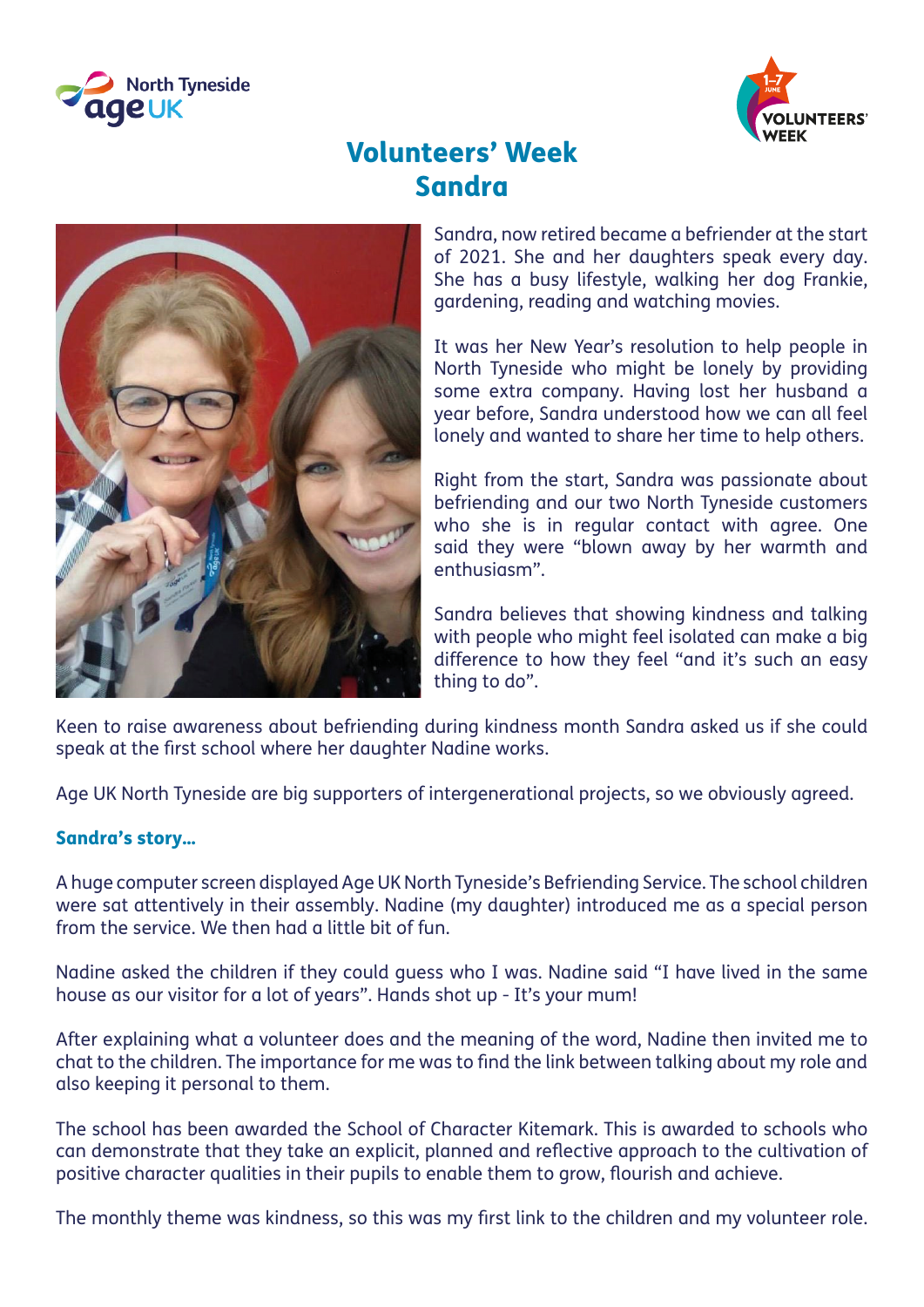



## Volunteers' Week Sandra



Sandra, now retired became a befriender at the start of 2021. She and her daughters speak every day. She has a busy lifestyle, walking her dog Frankie, gardening, reading and watching movies.

It was her New Year's resolution to help people in North Tyneside who might be lonely by providing some extra company. Having lost her husband a year before, Sandra understood how we can all feel lonely and wanted to share her time to help others.

Right from the start, Sandra was passionate about befriending and our two North Tyneside customers who she is in regular contact with agree. One said they were "blown away by her warmth and enthusiasm".

Sandra believes that showing kindness and talking with people who might feel isolated can make a big difference to how they feel "and it's such an easy thing to do".

Keen to raise awareness about befriending during kindness month Sandra asked us if she could speak at the first school where her daughter Nadine works.

Age UK North Tyneside are big supporters of intergenerational projects, so we obviously agreed.

## Sandra's story…

A huge computer screen displayed Age UK North Tyneside's Befriending Service. The school children were sat attentively in their assembly. Nadine (my daughter) introduced me as a special person from the service. We then had a little bit of fun.

Nadine asked the children if they could guess who I was. Nadine said "I have lived in the same house as our visitor for a lot of years". Hands shot up - It's your mum!

After explaining what a volunteer does and the meaning of the word, Nadine then invited me to chat to the children. The importance for me was to find the link between talking about my role and also keeping it personal to them.

The school has been awarded the School of Character Kitemark. This is awarded to schools who can demonstrate that they take an explicit, planned and reflective approach to the cultivation of positive character qualities in their pupils to enable them to grow, flourish and achieve.

The monthly theme was kindness, so this was my first link to the children and my volunteer role.